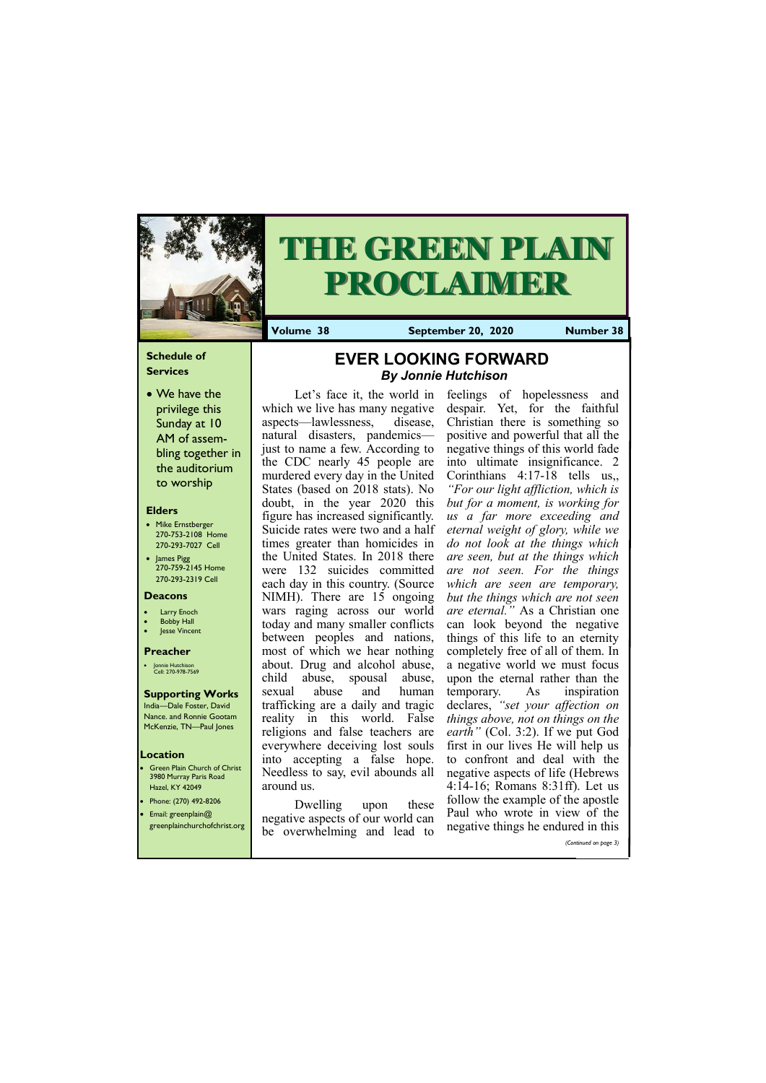### **Schedule of Services**

• We have the privilege this Sunday at 10 AM of assembling together in the auditorium to worship

#### **Elders**

- **Green Plain Church of Christ** 3980 Murray Paris Road Hazel, KY 42049
- Phone: (270) 492-8206 • Email: greenplain@
- 
- Mike Ernstberger 270-753-2108 Home 270-293-7027 Cell
- James Pigg 270-759-2145 Home 270-293-2319 Cell



# **THE GREEN PLAIN PROCLAIMER**

#### **Location**

**Volume 38 September 20, 2020 Number 38**

#### **Deacons**

- **Larry Enoch**
- **Bobby Hall**
- Jesse Vincent

#### **Preacher**

• Jonnie Hutchison Cell: 270-978-7569

#### **Supporting Works** India—Dale Foster, David

Nance. and Ronnie Gootam McKenzie, TN—Paul Jones

Let's face it, the world in which we live has many negative aspects—lawlessness, disease, natural disasters, pandemics just to name a few. According to the CDC nearly 45 people are murdered every day in the United States (based on 2018 stats). No doubt, in the year 2020 this figure has increased significantly. Suicide rates were two and a half times greater than homicides in the United States. In 2018 there were 132 suicides committed each day in this country. (Source NIMH). There are 15 ongoing wars raging across our world today and many smaller conflicts between peoples and nations, most of which we hear nothing about. Drug and alcohol abuse, child abuse, spousal abuse, sexual abuse and human trafficking are a daily and tragic reality in this world. False religions and false teachers are everywhere deceiving lost souls into accepting a false hope. Needless to say, evil abounds all around us.

| • Email: greenplain( $\alpha$ )<br>greenplainchurchofchrist.org | negative aspects of our world can<br>overwhelming and lead<br>$\tau$<br>be | Paul who wrote in view of the<br>negative things he endured in this |
|-----------------------------------------------------------------|----------------------------------------------------------------------------|---------------------------------------------------------------------|
|                                                                 |                                                                            | (Continued on page 3)                                               |

Dwelling upon these

feelings of hopelessness and despair. Yet, for the faithful Christian there is something so positive and powerful that all the negative things of this world fade into ultimate insignificance. 2 Corinthians 4:17-18 tells us,, *"For our light affliction, which is but for a moment, is working for us a far more exceeding and eternal weight of glory, while we do not look at the things which are seen, but at the things which are not seen. For the things which are seen are temporary, but the things which are not seen are eternal."* As a Christian one can look beyond the negative things of this life to an eternity completely free of all of them. In a negative world we must focus upon the eternal rather than the temporary. As inspiration declares, *"set your affection on things above, not on things on the earth"* (Col. 3:2). If we put God first in our lives He will help us to confront and deal with the negative aspects of life (Hebrews 4:14-16; Romans 8:31ff). Let us follow the example of the apostle Paul who wrote in view of the

# **EVER LOOKING FORWARD**  *By Jonnie Hutchison*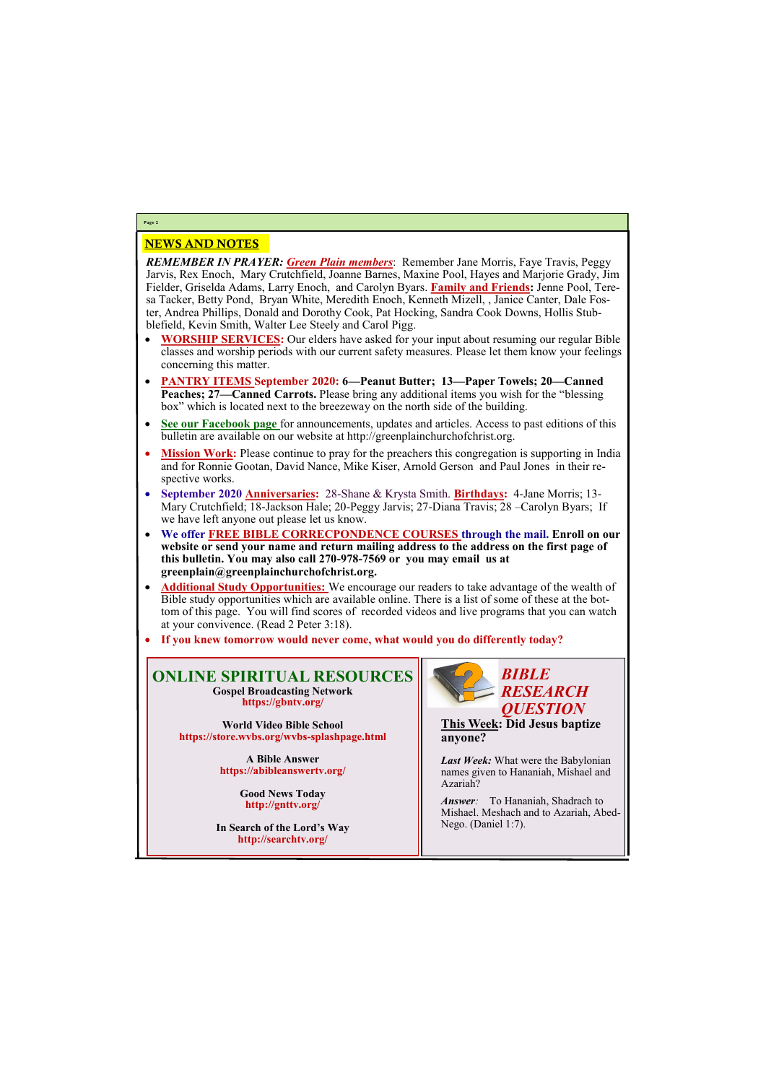# NEWS AND NOTES

*REMEMBER IN PRAYER: Green Plain members*: Remember Jane Morris, Faye Travis, Peggy Jarvis, Rex Enoch, Mary Crutchfield, Joanne Barnes, Maxine Pool, Hayes and Marjorie Grady, Jim Fielder, Griselda Adams, Larry Enoch, and Carolyn Byars. **Family and Friends:** Jenne Pool, Teresa Tacker, Betty Pond, Bryan White, Meredith Enoch, Kenneth Mizell, , Janice Canter, Dale Foster, Andrea Phillips, Donald and Dorothy Cook, Pat Hocking, Sandra Cook Downs, Hollis Stubblefield, Kevin Smith, Walter Lee Steely and Carol Pigg.

> *Answer*: To Hananiah, Shadrach to Mishael. Meshach and to Azariah, Abed-

- **WORSHIP SERVICES:** Our elders have asked for your input about resuming our regular Bible classes and worship periods with our current safety measures. Please let them know your feelings concerning this matter.
- **PANTRY ITEMS September 2020: 6—Peanut Butter; 13—Paper Towels; 20—Canned Peaches; 27—Canned Carrots.** Please bring any additional items you wish for the "blessing box" which is located next to the breezeway on the north side of the building.
- **See our Facebook page** for announcements, updates and articles. Access to past editions of this bulletin are available on our website at http://greenplainchurchofchrist.org.
- Mission Work: Please continue to pray for the preachers this congregation is supporting in India and for Ronnie Gootan, David Nance, Mike Kiser, Arnold Gerson and Paul Jones in their respective works.
- **September 2020 Anniversaries:** 28-Shane & Krysta Smith. **Birthdays:** 4-Jane Morris; 13- Mary Crutchfield; 18-Jackson Hale; 20-Peggy Jarvis; 27-Diana Travis; 28 –Carolyn Byars; If we have left anyone out please let us know.
- **We offer FREE BIBLE CORRECPONDENCE COURSES through the mail. Enroll on our website or send your name and return mailing address to the address on the first page of this bulletin. You may also call 270-978-7569 or you may email us at greenplain@greenplainchurchofchrist.org.**
- **Additional Study Opportunities:** We encourage our readers to take advantage of the wealth of Bible study opportunities which are available online. There is a list of some of these at the bottom of this page. You will find scores of recorded videos and live programs that you can watch at your convivence. (Read 2 Peter 3:18).
- **If you knew tomorrow would never come, what would you do differently today?**

# **Page 2**

## **ONLINE SPIRITUAL RESOURCES Gospel Broadcasting Network https://gbntv.org/**

**World Video Bible School https://store.wvbs.org/wvbs-splashpage.html**

> **A Bible Answer https://abibleanswertv.org/**

> > **Good News Today http://gnttv.org/**

**In Search of the Lord's Way http://searchtv.org/**



**This Week: Did Jesus baptize anyone?**

*Last Week:* What were the Babylonian names given to Hananiah, Mishael and Azariah?

Nego. (Daniel 1:7).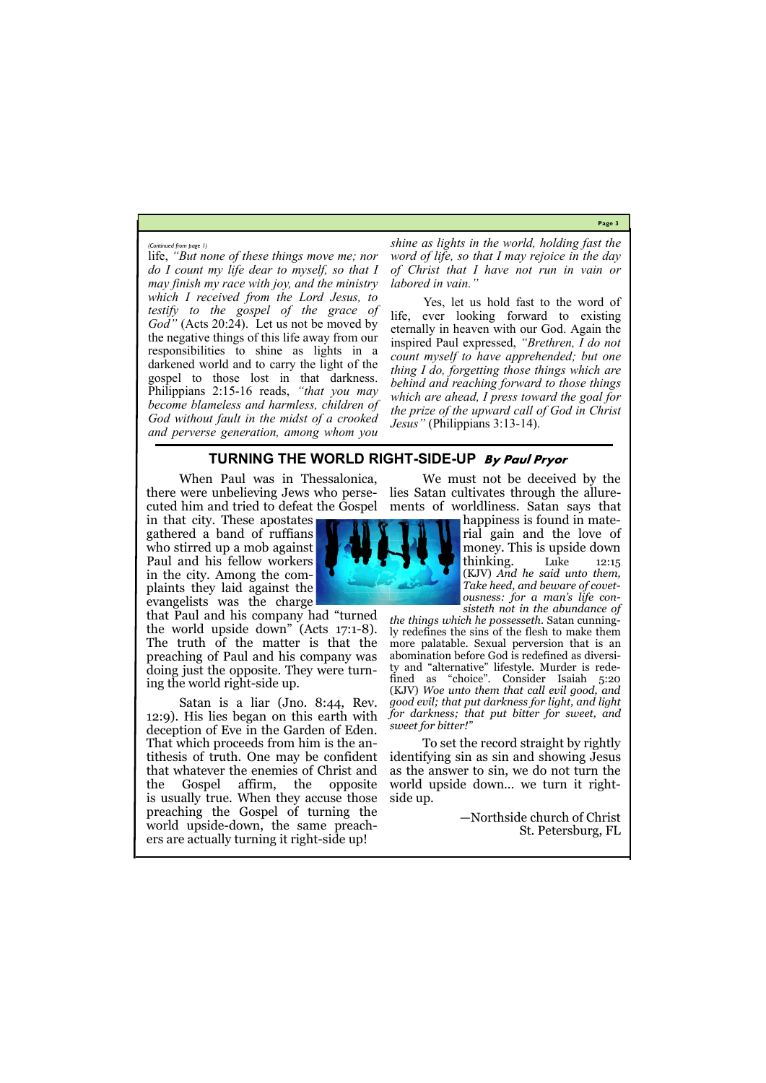**Page 3**

life, *"But none of these things move me; nor do I count my life dear to myself, so that I may finish my race with joy, and the ministry which I received from the Lord Jesus, to testify to the gospel of the grace of God"* (Acts 20:24). Let us not be moved by the negative things of this life away from our responsibilities to shine as lights in a darkened world and to carry the light of the gospel to those lost in that darkness. Philippians 2:15-16 reads, *"that you may become blameless and harmless, children of God without fault in the midst of a crooked and perverse generation, among whom you* 

*shine as lights in the world, holding fast the word of life, so that I may rejoice in the day of Christ that I have not run in vain or labored in vain."*

Yes, let us hold fast to the word of life, ever looking forward to existing eternally in heaven with our God. Again the inspired Paul expressed, *"Brethren, I do not count myself to have apprehended; but one thing I do, forgetting those things which are behind and reaching forward to those things which are ahead, I press toward the goal for the prize of the upward call of God in Christ Jesus"* (Philippians 3:13-14).

*(Continued from page 1)*

# **TURNING THE WORLD RIGHT-SIDE-UP By Paul Pryor**

When Paul was in Thessalonica, there were unbelieving Jews who perse-

in that city. These apostates gathered a band of ruffians who stirred up a mob against Paul and his fellow workers in the city. Among the complaints they laid against the evangelists was the charge

that Paul and his company had "turned the world upside down" (Acts 17:1-8). The truth of the matter is that the preaching of Paul and his company was doing just the opposite. They were turning the world right-side up.

cuted him and tried to defeat the Gospel ments of worldliness. Satan says that We must not be deceived by the lies Satan cultivates through the allure-

Satan is a liar (Jno. 8:44, Rev. 12:9). His lies began on this earth with deception of Eve in the Garden of Eden. That which proceeds from him is the antithesis of truth. One may be confident that whatever the enemies of Christ and the Gospel affirm, the opposite is usually true. When they accuse those preaching the Gospel of turning the world upside-down, the same preachers are actually turning it right-side up!

happiness is found in material gain and the love of money. This is upside down thinking. Luke 12:15 (KJV) *And he said unto them, Take heed, and beware of covetousness: for a man's life consisteth not in the abundance of* 

*the things which he possesseth.* Satan cunningly redefines the sins of the flesh to make them more palatable. Sexual perversion that is an abomination before God is redefined as diversity and "alternative" lifestyle. Murder is redefined as "choice". Consider Isaiah 5:20 (KJV) *Woe unto them that call evil good, and good evil; that put darkness for light, and light for darkness; that put bitter for sweet, and sweet for bitter!"*

To set the record straight by rightly identifying sin as sin and showing Jesus as the answer to sin, we do not turn the world upside down… we turn it rightside up.

—Northside church of Christ St. Petersburg, FL